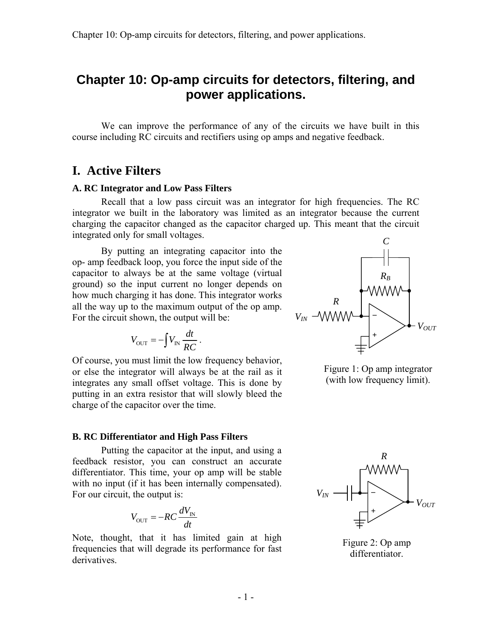We can improve the performance of any of the circuits we have built in this course including RC circuits and rectifiers using op amps and negative feedback.

## **I. Active Filters**

#### **A. RC Integrator and Low Pass Filters**

 Recall that a low pass circuit was an integrator for high frequencies. The RC integrator we built in the laboratory was limited as an integrator because the current charging the capacitor changed as the capacitor charged up. This meant that the circuit integrated only for small voltages.

 By putting an integrating capacitor into the op- amp feedback loop, you force the input side of the capacitor to always be at the same voltage (virtual ground) so the input current no longer depends on how much charging it has done. This integrator works all the way up to the maximum output of the op amp. For the circuit shown, the output will be:

$$
V_{\text{OUT}} = -\int V_{\text{IN}} \frac{dt}{RC} \, .
$$

Of course, you must limit the low frequency behavior, or else the integrator will always be at the rail as it integrates any small offset voltage. This is done by putting in an extra resistor that will slowly bleed the charge of the capacitor over the time.

#### **B. RC Differentiator and High Pass Filters**

 Putting the capacitor at the input, and using a feedback resistor, you can construct an accurate differentiator. This time, your op amp will be stable with no input (if it has been internally compensated). For our circuit, the output is:

$$
V_{\text{OUT}} = -RC \frac{dV_{\text{IN}}}{dt}
$$

Note, thought, that it has limited gain at high frequencies that will degrade its performance for fast derivatives.



Figure 1: Op amp integrator (with low frequency limit).



Figure 2: Op amp differentiator.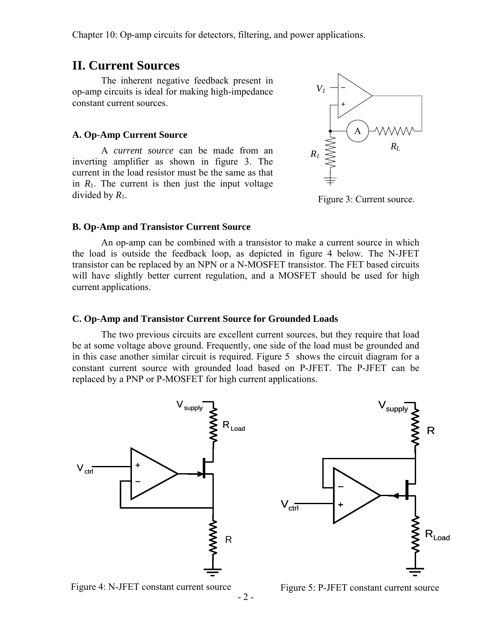### **II. Current Sources**

 The inherent negative feedback present in op-amp circuits is ideal for making high-impedance constant current sources.

#### **A. Op-Amp Current Source**

 A *current source* can be made from an inverting amplifier as shown in figure 3. The current in the load resistor must be the same as that in  $R_1$ . The current is then just the input voltage divided by *R*1.



Figure 3: Current source.

#### **B. Op-Amp and Transistor Current Source**

 An op-amp can be combined with a transistor to make a current source in which the load is outside the feedback loop, as depicted in figure 4 below. The N-JFET transistor can be replaced by an NPN or a N-MOSFET transistor. The FET based circuits will have slightly better current regulation, and a MOSFET should be used for high current applications.

#### **C. Op-Amp and Transistor Current Source for Grounded Loads**

 The two previous circuits are excellent current sources, but they require that load be at some voltage above ground. Frequently, one side of the load must be grounded and in this case another similar circuit is required. Figure 5 shows the circuit diagram for a constant current source with grounded load based on P-JFET. The P-JFET can be replaced by a PNP or P-MOSFET for high current applications.





Figure 5: P-JFET constant current source

R

 $R_{\text{Load}}$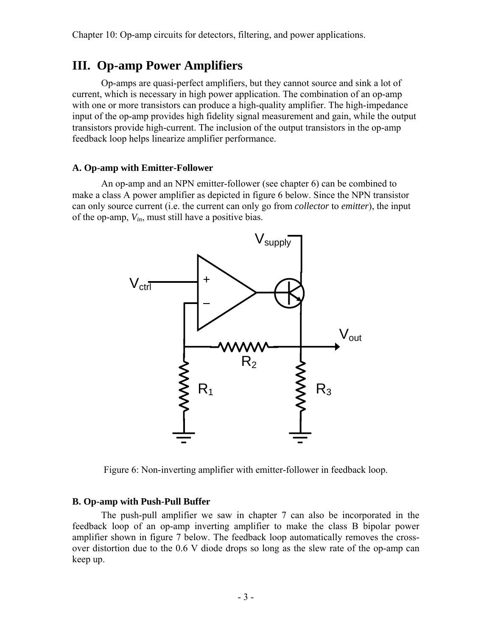## **III. Op-amp Power Amplifiers**

 Op-amps are quasi-perfect amplifiers, but they cannot source and sink a lot of current, which is necessary in high power application. The combination of an op-amp with one or more transistors can produce a high-quality amplifier. The high-impedance input of the op-amp provides high fidelity signal measurement and gain, while the output transistors provide high-current. The inclusion of the output transistors in the op-amp feedback loop helps linearize amplifier performance.

### **A. Op-amp with Emitter-Follower**

 An op-amp and an NPN emitter-follower (see chapter 6) can be combined to make a class A power amplifier as depicted in figure 6 below. Since the NPN transistor can only source current (i.e. the current can only go from *collector* to *emitter*), the input of the op-amp, *Vin*, must still have a positive bias.



Figure 6: Non-inverting amplifier with emitter-follower in feedback loop.

#### **B. Op-amp with Push-Pull Buffer**

 The push-pull amplifier we saw in chapter 7 can also be incorporated in the feedback loop of an op-amp inverting amplifier to make the class B bipolar power amplifier shown in figure 7 below. The feedback loop automatically removes the crossover distortion due to the 0.6 V diode drops so long as the slew rate of the op-amp can keep up.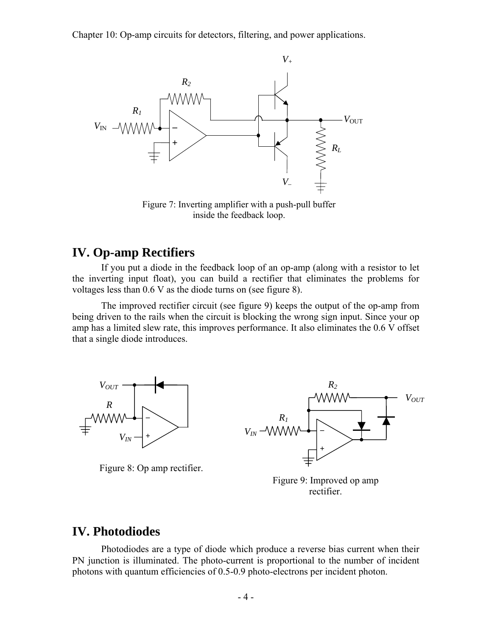

Figure 7: Inverting amplifier with a push-pull buffer inside the feedback loop.

## **IV. Op-amp Rectifiers**

 If you put a diode in the feedback loop of an op-amp (along with a resistor to let the inverting input float), you can build a rectifier that eliminates the problems for voltages less than 0.6 V as the diode turns on (see figure 8).

 The improved rectifier circuit (see figure 9) keeps the output of the op-amp from being driven to the rails when the circuit is blocking the wrong sign input. Since your op amp has a limited slew rate, this improves performance. It also eliminates the 0.6 V offset that a single diode introduces.



Figure 8: Op amp rectifier.



Figure 9: Improved op amp rectifier.

## **IV. Photodiodes**

 Photodiodes are a type of diode which produce a reverse bias current when their PN junction is illuminated. The photo-current is proportional to the number of incident photons with quantum efficiencies of 0.5-0.9 photo-electrons per incident photon.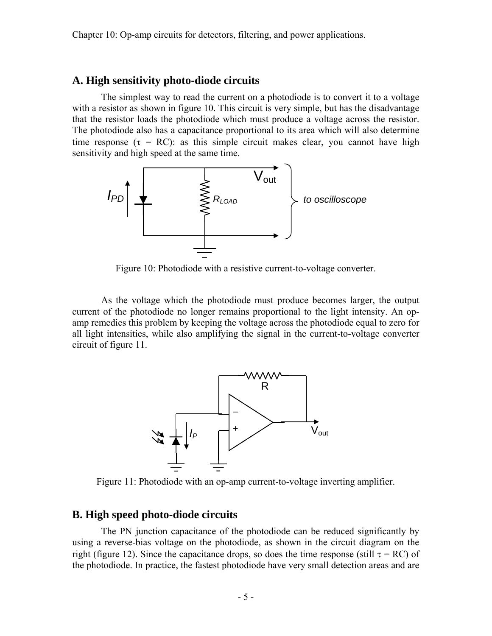### **A. High sensitivity photo-diode circuits**

 The simplest way to read the current on a photodiode is to convert it to a voltage with a resistor as shown in figure 10. This circuit is very simple, but has the disadvantage that the resistor loads the photodiode which must produce a voltage across the resistor. The photodiode also has a capacitance proportional to its area which will also determine time response ( $\tau = RC$ ): as this simple circuit makes clear, you cannot have high sensitivity and high speed at the same time.



Figure 10: Photodiode with a resistive current-to-voltage converter.

 As the voltage which the photodiode must produce becomes larger, the output current of the photodiode no longer remains proportional to the light intensity. An opamp remedies this problem by keeping the voltage across the photodiode equal to zero for all light intensities, while also amplifying the signal in the current-to-voltage converter circuit of figure 11.



Figure 11: Photodiode with an op-amp current-to-voltage inverting amplifier.

### **B. High speed photo-diode circuits**

 The PN junction capacitance of the photodiode can be reduced significantly by using a reverse-bias voltage on the photodiode, as shown in the circuit diagram on the right (figure 12). Since the capacitance drops, so does the time response (still  $\tau = RC$ ) of the photodiode. In practice, the fastest photodiode have very small detection areas and are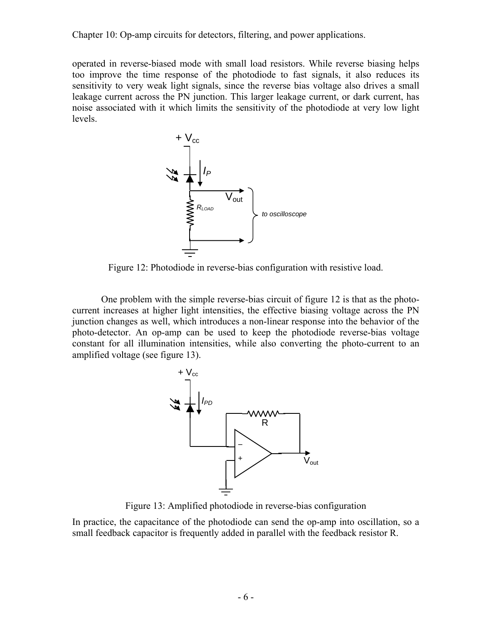operated in reverse-biased mode with small load resistors. While reverse biasing helps too improve the time response of the photodiode to fast signals, it also reduces its sensitivity to very weak light signals, since the reverse bias voltage also drives a small leakage current across the PN junction. This larger leakage current, or dark current, has noise associated with it which limits the sensitivity of the photodiode at very low light levels.



Figure 12: Photodiode in reverse-bias configuration with resistive load.

 One problem with the simple reverse-bias circuit of figure 12 is that as the photocurrent increases at higher light intensities, the effective biasing voltage across the PN junction changes as well, which introduces a non-linear response into the behavior of the photo-detector. An op-amp can be used to keep the photodiode reverse-bias voltage constant for all illumination intensities, while also converting the photo-current to an amplified voltage (see figure 13).



Figure 13: Amplified photodiode in reverse-bias configuration

In practice, the capacitance of the photodiode can send the op-amp into oscillation, so a small feedback capacitor is frequently added in parallel with the feedback resistor R.